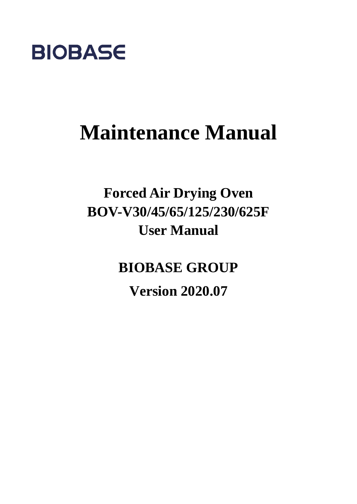

# **Maintenance Manual**

## **Forced Air Drying Oven BOV-V30/45/65/125/230/625F User Manual**

**BIOBASE GROUP**

**Version 2020.07**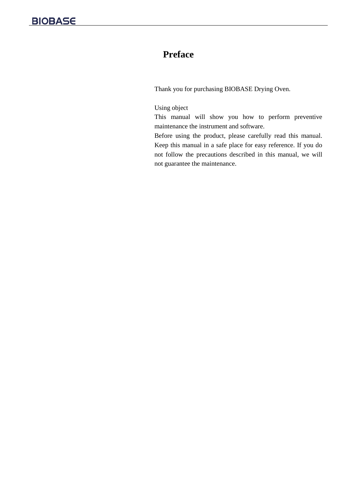### **Preface**

Thank you for purchasing BIOBASE Drying Oven.

#### Using object

This manual will show you how to perform preventive maintenance the instrument and software.

Before using the product, please carefully read this manual. Keep this manual in a safe place for easy reference. If you do not follow the precautions described in this manual, we will not guarantee the maintenance.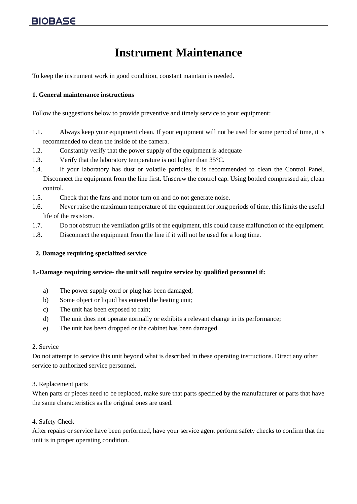## **Instrument Maintenance**

To keep the instrument work in good condition, constant maintain is needed.

#### **1. General maintenance instructions**

Follow the suggestions below to provide preventive and timely service to your equipment:

- 1.1. Always keep your equipment clean. If your equipment will not be used for some period of time, it is recommended to clean the inside of the camera.
- 1.2. Constantly verify that the power supply of the equipment is adequate
- 1.3. Verify that the laboratory temperature is not higher than 35°C.
- 1.4. If your laboratory has dust or volatile particles, it is recommended to clean the Control Panel. Disconnect the equipment from the line first. Unscrew the control cap. Using bottled compressed air, clean control.
- 1.5. Check that the fans and motor turn on and do not generate noise.
- 1.6. Never raise the maximum temperature of the equipment for long periods of time, this limits the useful life of the resistors.
- 1.7. Do not obstruct the ventilation grills of the equipment, this could cause malfunction of the equipment.
- 1.8. Disconnect the equipment from the line if it will not be used for a long time.

#### **2. Damage requiring specialized service**

#### **1.-Damage requiring service- the unit will require service by qualified personnel if:**

- a) The power supply cord or plug has been damaged;
- b) Some object or liquid has entered the heating unit;
- c) The unit has been exposed to rain;
- d) The unit does not operate normally or exhibits a relevant change in its performance;
- e) The unit has been dropped or the cabinet has been damaged.

#### 2. Service

Do not attempt to service this unit beyond what is described in these operating instructions. Direct any other service to authorized service personnel.

#### 3. Replacement parts

When parts or pieces need to be replaced, make sure that parts specified by the manufacturer or parts that have the same characteristics as the original ones are used.

#### 4. Safety Check

After repairs or service have been performed, have your service agent perform safety checks to confirm that the unit is in proper operating condition.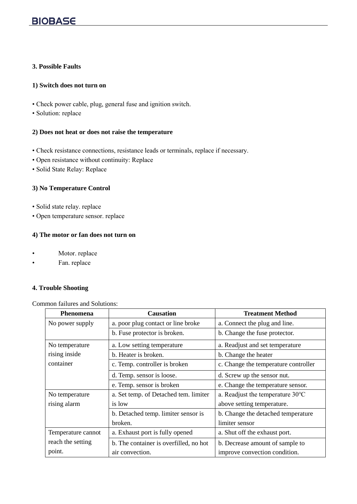#### **3. Possible Faults**

#### **1) Switch does not turn on**

- Check power cable, plug, general fuse and ignition switch.
- Solution: replace

#### **2) Does not heat or does not raise the temperature**

- Check resistance connections, resistance leads or terminals, replace if necessary.
- Open resistance without continuity: Replace
- Solid State Relay: Replace

#### **3) No Temperature Control**

- Solid state relay. replace
- Open temperature sensor. replace

#### **4) The motor or fan does not turn on**

- Motor. replace
- Fan. replace

#### **4. Trouble Shooting**

#### Common failures and Solutions:

| Phenomena          | <b>Causation</b>                       | <b>Treatment Method</b>                    |
|--------------------|----------------------------------------|--------------------------------------------|
| No power supply    | a. poor plug contact or line broke     | a. Connect the plug and line.              |
|                    | b. Fuse protector is broken.           | b. Change the fuse protector.              |
| No temperature     | a. Low setting temperature             | a. Readjust and set temperature            |
| rising inside      | b. Heater is broken.                   | b. Change the heater                       |
| container          | c. Temp. controller is broken          | c. Change the temperature controller       |
|                    | d. Temp. sensor is loose.              | d. Screw up the sensor nut.                |
|                    | e. Temp. sensor is broken              | e. Change the temperature sensor.          |
| No temperature     | a. Set temp. of Detached tem. limiter  | a. Readjust the temperature $30^{\circ}$ C |
| rising alarm       | is low                                 | above setting temperature.                 |
|                    | b. Detached temp. limiter sensor is    | b. Change the detached temperature         |
|                    | broken.                                | limiter sensor                             |
| Temperature cannot | a. Exhaust port is fully opened        | a. Shut off the exhaust port.              |
| reach the setting  | b. The container is overfilled, no hot | b. Decrease amount of sample to            |
| point.             | air convection.                        | improve convection condition.              |